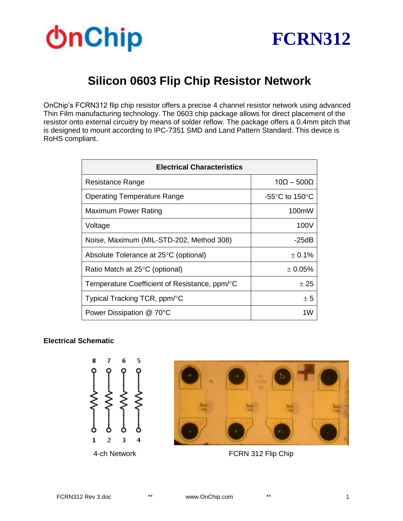



## **Silicon 0603 Flip Chip Resistor Network**

OnChip's FCRN312 flip chip resistor offers a precise 4 channel resistor network using advanced Thin Film manufacturing technology. The 0603 chip package allows for direct placement of the resistor onto external circuitry by means of solder reflow. The package offers a 0.4mm pitch that is designed to mount according to IPC-7351 SMD and Land Pattern Standard. This device is RoHS compliant.

| <b>Electrical Characteristics</b>             |                                    |  |  |  |
|-----------------------------------------------|------------------------------------|--|--|--|
| Resistance Range                              | $10\Omega - 500\Omega$             |  |  |  |
| <b>Operating Temperature Range</b>            | -55 $\degree$ C to 150 $\degree$ C |  |  |  |
| Maximum Power Rating                          | 100mW                              |  |  |  |
| Voltage                                       | 100V                               |  |  |  |
| Noise, Maximum (MIL-STD-202, Method 308)      | -25dB                              |  |  |  |
| Absolute Tolerance at 25°C (optional)         | ± 0.1%                             |  |  |  |
| Ratio Match at 25°C (optional)                | $± 0.05\%$                         |  |  |  |
| Temperature Coefficient of Resistance, ppm/°C | ± 25                               |  |  |  |
| Typical Tracking TCR, ppm/°C                  | ± 5                                |  |  |  |
| Power Dissipation @ 70°C                      | 1W                                 |  |  |  |

#### **Electrical Schematic**





4-ch Network FCRN 312 Flip Chip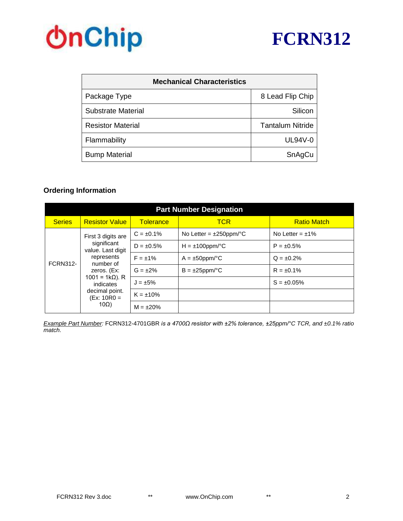

# **OnChip**

| <b>Mechanical Characteristics</b> |                         |
|-----------------------------------|-------------------------|
| Package Type                      | 8 Lead Flip Chip        |
| Substrate Material                | Silicon                 |
| <b>Resistor Material</b>          | <b>Tantalum Nitride</b> |
| Flammability                      | $UL94V-0$               |
| <b>Bump Material</b>              | SnAgCu                  |

### **Ordering Information**

| <b>Part Number Designation</b> |                                                                                                                                                                                       |                  |                              |                    |  |  |  |
|--------------------------------|---------------------------------------------------------------------------------------------------------------------------------------------------------------------------------------|------------------|------------------------------|--------------------|--|--|--|
| <b>Series</b>                  | <b>Resistor Value</b>                                                                                                                                                                 | <b>Tolerance</b> | <b>TCR</b>                   | <b>Ratio Match</b> |  |  |  |
| <b>FCRN312-</b>                | First 3 digits are<br>significant<br>value. Last digit<br>represents<br>number of<br>zeros. (Ex:<br>$1001 = 1kΩ$ ). R<br>indicates<br>decimal point.<br>$(EX: 10R0 =$<br>$10\Omega$ ) | $C = \pm 0.1\%$  | No Letter = $\pm 250$ ppm/°C | No Letter = $±1\%$ |  |  |  |
|                                |                                                                                                                                                                                       | $D = \pm 0.5\%$  | $H = \pm 100$ ppm/°C         | $P = \pm 0.5\%$    |  |  |  |
|                                |                                                                                                                                                                                       | $F = \pm 1\%$    | $A = \pm 50$ ppm/°C          | $Q = \pm 0.2\%$    |  |  |  |
|                                |                                                                                                                                                                                       | $G = \pm 2\%$    | $B = \pm 25$ ppm/°C          | $R = \pm 0.1\%$    |  |  |  |
|                                |                                                                                                                                                                                       | $J = \pm 5\%$    |                              | $S = \pm 0.05\%$   |  |  |  |
|                                |                                                                                                                                                                                       | $K = \pm 10\%$   |                              |                    |  |  |  |
|                                |                                                                                                                                                                                       | $M = \pm 20\%$   |                              |                    |  |  |  |

*Example Part Number:* FCRN312-4701GBR *is a 4700Ω resistor with ±2% tolerance, ±25ppm/°C TCR, and ±0.1% ratio match.*